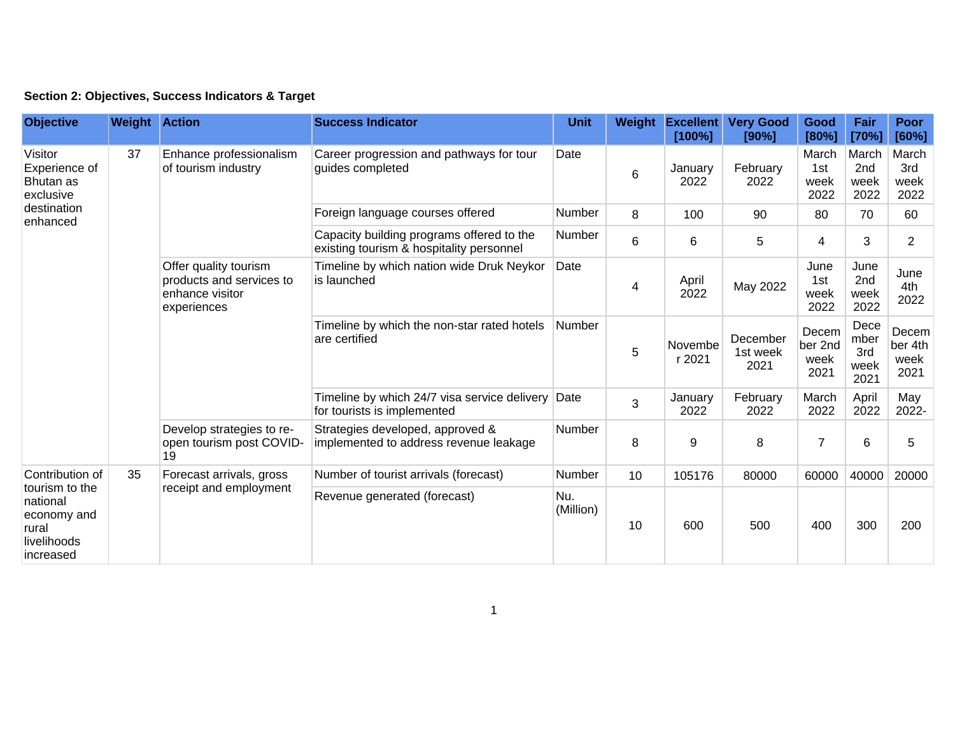| Section 2: Objectives, Success Indicators & Target |  |  |  |  |  |  |
|----------------------------------------------------|--|--|--|--|--|--|
|----------------------------------------------------|--|--|--|--|--|--|

| <b>Objective</b>                                                                                  | <b>Weight Action</b> |                                                                                     | <b>Success Indicator</b>                                                              | <b>Unit</b>      | Weight | <b>Excellent</b><br>[100%] | <b>Very Good</b><br>[90%]    | Good<br>[80%]                    | Fair<br>[70%]                            | <b>Poor</b><br>[60%]             |
|---------------------------------------------------------------------------------------------------|----------------------|-------------------------------------------------------------------------------------|---------------------------------------------------------------------------------------|------------------|--------|----------------------------|------------------------------|----------------------------------|------------------------------------------|----------------------------------|
| Visitor<br>Experience of<br>Bhutan as<br>exclusive                                                | 37                   | Enhance professionalism<br>of tourism industry                                      | Career progression and pathways for tour<br>guides completed                          | Date             | 6      | January<br>2022            | February<br>2022             | March<br>1st<br>week<br>2022     | March<br>2 <sub>nd</sub><br>week<br>2022 | March<br>3rd<br>week<br>2022     |
| destination<br>enhanced                                                                           |                      |                                                                                     | Foreign language courses offered                                                      | <b>Number</b>    | 8      | 100                        | 90                           | 80                               | 70                                       | 60                               |
|                                                                                                   |                      |                                                                                     | Capacity building programs offered to the<br>existing tourism & hospitality personnel | Number           | 6      | 6                          | 5                            | 4                                | 3                                        | $\overline{2}$                   |
|                                                                                                   |                      | Offer quality tourism<br>products and services to<br>enhance visitor<br>experiences | Timeline by which nation wide Druk Neykor<br>is launched                              | Date             | 4      | April<br>2022              | May 2022                     | June<br>1st<br>week<br>2022      | June<br>2nd<br>week<br>2022              | June<br>4th<br>2022              |
|                                                                                                   |                      |                                                                                     | Timeline by which the non-star rated hotels<br>are certified                          | Number           | 5      | Novembe<br>r 2021          | December<br>1st week<br>2021 | Decem<br>ber 2nd<br>week<br>2021 | Dece<br>mber<br>3rd<br>week<br>2021      | Decem<br>ber 4th<br>week<br>2021 |
|                                                                                                   |                      |                                                                                     | Timeline by which 24/7 visa service delivery Date<br>for tourists is implemented      |                  | 3      | January<br>2022            | February<br>2022             | March<br>2022                    | April<br>2022                            | May<br>2022-                     |
|                                                                                                   |                      | Develop strategies to re-<br>open tourism post COVID-<br>19                         | Strategies developed, approved &<br>implemented to address revenue leakage            | Number           | 8      | 9                          | 8                            | $\overline{7}$                   | 6                                        | 5                                |
| Contribution of<br>tourism to the<br>national<br>economy and<br>rural<br>livelihoods<br>increased | 35                   | Forecast arrivals, gross<br>receipt and employment                                  | Number of tourist arrivals (forecast)                                                 | Number           | 10     | 105176                     | 80000                        | 60000                            | 40000                                    | 20000                            |
|                                                                                                   |                      |                                                                                     | Revenue generated (forecast)                                                          | Nu.<br>(Million) | 10     | 600                        | 500                          | 400                              | 300                                      | 200                              |